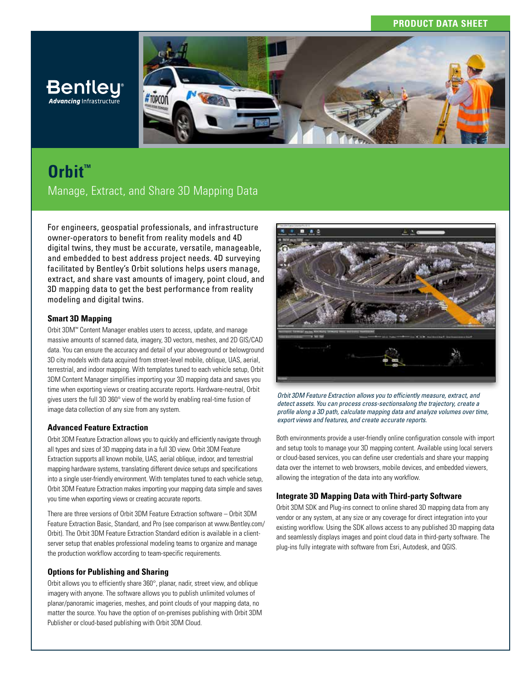## **PRODUCT DATA SHEET**



# **Orbit™** Manage, Extract, and Share 3D Mapping Data

For engineers, geospatial professionals, and infrastructure owner-operators to benefit from reality models and 4D digital twins, they must be accurate, versatile, manageable, and embedded to best address project needs. 4D surveying facilitated by Bentley's Orbit solutions helps users manage, extract, and share vast amounts of imagery, point cloud, and 3D mapping data to get the best performance from reality modeling and digital twins.

#### **Smart 3D Mapping**

**Advancing Infrastructure** 

Orbit 3DM™ Content Manager enables users to access, update, and manage massive amounts of scanned data, imagery, 3D vectors, meshes, and 2D GIS/CAD data. You can ensure the accuracy and detail of your aboveground or belowground 3D city models with data acquired from street-level mobile, oblique, UAS, aerial, terrestrial, and indoor mapping. With templates tuned to each vehicle setup, Orbit 3DM Content Manager simplifies importing your 3D mapping data and saves you time when exporting views or creating accurate reports. Hardware-neutral, Orbit gives users the full 3D 360° view of the world by enabling real-time fusion of image data collection of any size from any system.

#### **Advanced Feature Extraction**

Orbit 3DM Feature Extraction allows you to quickly and efficiently navigate through all types and sizes of 3D mapping data in a full 3D view. Orbit 3DM Feature Extraction supports all known mobile, UAS, aerial oblique, indoor, and terrestrial mapping hardware systems, translating different device setups and specifications into a single user-friendly environment. With templates tuned to each vehicle setup, Orbit 3DM Feature Extraction makes importing your mapping data simple and saves you time when exporting views or creating accurate reports.

There are three versions of Orbit 3DM Feature Extraction software – Orbit 3DM Feature Extraction Basic, Standard, and Pro (see comparison at www.Bentley.com/ Orbit). The Orbit 3DM Feature Extraction Standard edition is available in a clientserver setup that enables professional modeling teams to organize and manage the production workflow according to team-specific requirements.

## **Options for Publishing and Sharing**

Orbit allows you to efficiently share 360°, planar, nadir, street view, and oblique imagery with anyone. The software allows you to publish unlimited volumes of planar/panoramic imageries, meshes, and point clouds of your mapping data, no matter the source. You have the option of on-premises publishing with Orbit 3DM Publisher or cloud-based publishing with Orbit 3DM Cloud.



*Orbit 3DM Feature Extraction allows you to efficiently measure, extract, and detect assets. You can process cross-sectionsalong the trajectory, create a profile along a 3D path, calculate mapping data and analyze volumes over time, export views and features, and create accurate reports.*

Both environments provide a user-friendly online configuration console with import and setup tools to manage your 3D mapping content. Available using local servers or cloud-based services, you can define user credentials and share your mapping data over the internet to web browsers, mobile devices, and embedded viewers, allowing the integration of the data into any workflow.

## **Integrate 3D Mapping Data with Third-party Software**

Orbit 3DM SDK and Plug-ins connect to online shared 3D mapping data from any vendor or any system, at any size or any coverage for direct integration into your existing workflow. Using the SDK allows access to any published 3D mapping data and seamlessly displays images and point cloud data in third-party software. The plug-ins fully integrate with software from Esri, Autodesk, and QGIS.